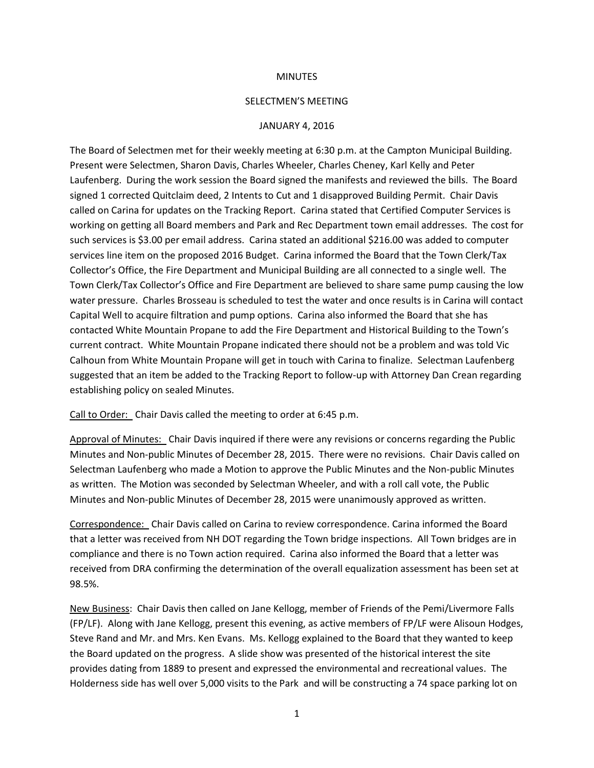### **MINUTES**

### SELECTMEN'S MEETING

### JANUARY 4, 2016

The Board of Selectmen met for their weekly meeting at 6:30 p.m. at the Campton Municipal Building. Present were Selectmen, Sharon Davis, Charles Wheeler, Charles Cheney, Karl Kelly and Peter Laufenberg. During the work session the Board signed the manifests and reviewed the bills. The Board signed 1 corrected Quitclaim deed, 2 Intents to Cut and 1 disapproved Building Permit. Chair Davis called on Carina for updates on the Tracking Report. Carina stated that Certified Computer Services is working on getting all Board members and Park and Rec Department town email addresses. The cost for such services is \$3.00 per email address. Carina stated an additional \$216.00 was added to computer services line item on the proposed 2016 Budget. Carina informed the Board that the Town Clerk/Tax Collector's Office, the Fire Department and Municipal Building are all connected to a single well. The Town Clerk/Tax Collector's Office and Fire Department are believed to share same pump causing the low water pressure. Charles Brosseau is scheduled to test the water and once results is in Carina will contact Capital Well to acquire filtration and pump options. Carina also informed the Board that she has contacted White Mountain Propane to add the Fire Department and Historical Building to the Town's current contract. White Mountain Propane indicated there should not be a problem and was told Vic Calhoun from White Mountain Propane will get in touch with Carina to finalize. Selectman Laufenberg suggested that an item be added to the Tracking Report to follow-up with Attorney Dan Crean regarding establishing policy on sealed Minutes.

Call to Order: Chair Davis called the meeting to order at 6:45 p.m.

Approval of Minutes: Chair Davis inquired if there were any revisions or concerns regarding the Public Minutes and Non-public Minutes of December 28, 2015. There were no revisions. Chair Davis called on Selectman Laufenberg who made a Motion to approve the Public Minutes and the Non-public Minutes as written. The Motion was seconded by Selectman Wheeler, and with a roll call vote, the Public Minutes and Non-public Minutes of December 28, 2015 were unanimously approved as written.

Correspondence: Chair Davis called on Carina to review correspondence. Carina informed the Board that a letter was received from NH DOT regarding the Town bridge inspections. All Town bridges are in compliance and there is no Town action required. Carina also informed the Board that a letter was received from DRA confirming the determination of the overall equalization assessment has been set at 98.5%.

New Business: Chair Davis then called on Jane Kellogg, member of Friends of the Pemi/Livermore Falls (FP/LF). Along with Jane Kellogg, present this evening, as active members of FP/LF were Alisoun Hodges, Steve Rand and Mr. and Mrs. Ken Evans. Ms. Kellogg explained to the Board that they wanted to keep the Board updated on the progress. A slide show was presented of the historical interest the site provides dating from 1889 to present and expressed the environmental and recreational values. The Holderness side has well over 5,000 visits to the Park and will be constructing a 74 space parking lot on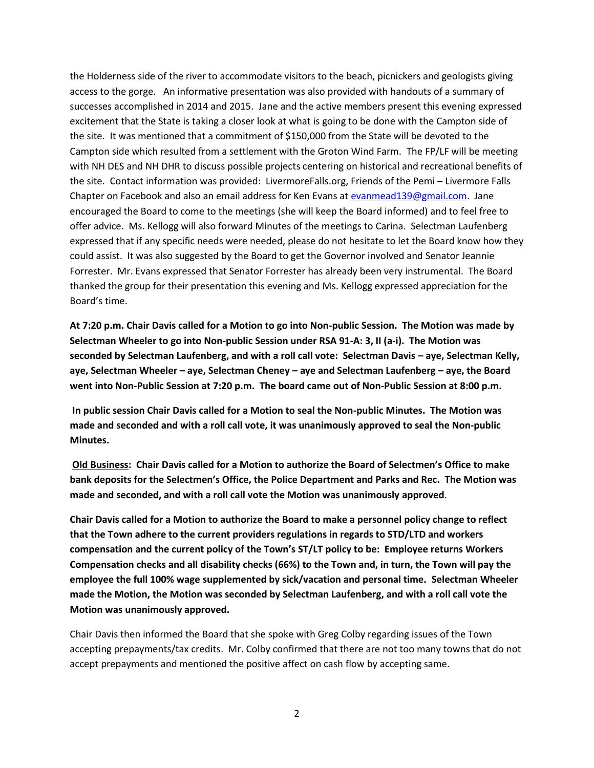the Holderness side of the river to accommodate visitors to the beach, picnickers and geologists giving access to the gorge. An informative presentation was also provided with handouts of a summary of successes accomplished in 2014 and 2015. Jane and the active members present this evening expressed excitement that the State is taking a closer look at what is going to be done with the Campton side of the site. It was mentioned that a commitment of \$150,000 from the State will be devoted to the Campton side which resulted from a settlement with the Groton Wind Farm. The FP/LF will be meeting with NH DES and NH DHR to discuss possible projects centering on historical and recreational benefits of the site. Contact information was provided: LivermoreFalls.org, Friends of the Pemi – Livermore Falls Chapter on Facebook and also an email address for Ken Evans a[t evanmead139@gmail.com.](mailto:evanmead139@gmail.com) Jane encouraged the Board to come to the meetings (she will keep the Board informed) and to feel free to offer advice. Ms. Kellogg will also forward Minutes of the meetings to Carina. Selectman Laufenberg expressed that if any specific needs were needed, please do not hesitate to let the Board know how they could assist. It was also suggested by the Board to get the Governor involved and Senator Jeannie Forrester. Mr. Evans expressed that Senator Forrester has already been very instrumental. The Board thanked the group for their presentation this evening and Ms. Kellogg expressed appreciation for the Board's time.

**At 7:20 p.m. Chair Davis called for a Motion to go into Non-public Session. The Motion was made by Selectman Wheeler to go into Non-public Session under RSA 91-A: 3, II (a-i). The Motion was seconded by Selectman Laufenberg, and with a roll call vote: Selectman Davis – aye, Selectman Kelly, aye, Selectman Wheeler – aye, Selectman Cheney – aye and Selectman Laufenberg – aye, the Board went into Non-Public Session at 7:20 p.m. The board came out of Non-Public Session at 8:00 p.m.**

**In public session Chair Davis called for a Motion to seal the Non-public Minutes. The Motion was made and seconded and with a roll call vote, it was unanimously approved to seal the Non-public Minutes.** 

**Old Business: Chair Davis called for a Motion to authorize the Board of Selectmen's Office to make bank deposits for the Selectmen's Office, the Police Department and Parks and Rec. The Motion was made and seconded, and with a roll call vote the Motion was unanimously approved**.

**Chair Davis called for a Motion to authorize the Board to make a personnel policy change to reflect that the Town adhere to the current providers regulations in regards to STD/LTD and workers compensation and the current policy of the Town's ST/LT policy to be: Employee returns Workers Compensation checks and all disability checks (66%) to the Town and, in turn, the Town will pay the employee the full 100% wage supplemented by sick/vacation and personal time. Selectman Wheeler made the Motion, the Motion was seconded by Selectman Laufenberg, and with a roll call vote the Motion was unanimously approved.** 

Chair Davis then informed the Board that she spoke with Greg Colby regarding issues of the Town accepting prepayments/tax credits. Mr. Colby confirmed that there are not too many towns that do not accept prepayments and mentioned the positive affect on cash flow by accepting same.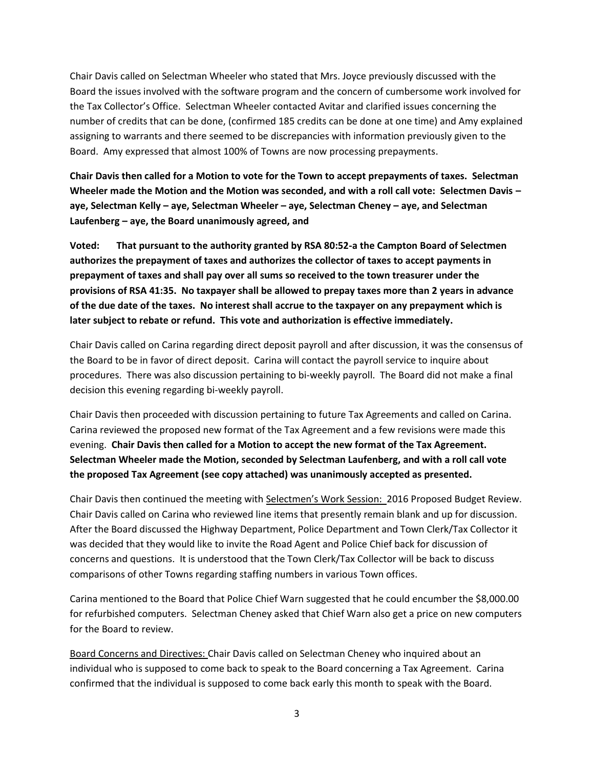Chair Davis called on Selectman Wheeler who stated that Mrs. Joyce previously discussed with the Board the issues involved with the software program and the concern of cumbersome work involved for the Tax Collector's Office. Selectman Wheeler contacted Avitar and clarified issues concerning the number of credits that can be done, (confirmed 185 credits can be done at one time) and Amy explained assigning to warrants and there seemed to be discrepancies with information previously given to the Board. Amy expressed that almost 100% of Towns are now processing prepayments.

**Chair Davis then called for a Motion to vote for the Town to accept prepayments of taxes. Selectman Wheeler made the Motion and the Motion was seconded, and with a roll call vote: Selectmen Davis – aye, Selectman Kelly – aye, Selectman Wheeler – aye, Selectman Cheney – aye, and Selectman Laufenberg – aye, the Board unanimously agreed, and**

**Voted: That pursuant to the authority granted by RSA 80:52-a the Campton Board of Selectmen authorizes the prepayment of taxes and authorizes the collector of taxes to accept payments in prepayment of taxes and shall pay over all sums so received to the town treasurer under the provisions of RSA 41:35. No taxpayer shall be allowed to prepay taxes more than 2 years in advance of the due date of the taxes. No interest shall accrue to the taxpayer on any prepayment which is later subject to rebate or refund. This vote and authorization is effective immediately.** 

Chair Davis called on Carina regarding direct deposit payroll and after discussion, it was the consensus of the Board to be in favor of direct deposit. Carina will contact the payroll service to inquire about procedures. There was also discussion pertaining to bi-weekly payroll. The Board did not make a final decision this evening regarding bi-weekly payroll.

Chair Davis then proceeded with discussion pertaining to future Tax Agreements and called on Carina. Carina reviewed the proposed new format of the Tax Agreement and a few revisions were made this evening. **Chair Davis then called for a Motion to accept the new format of the Tax Agreement. Selectman Wheeler made the Motion, seconded by Selectman Laufenberg, and with a roll call vote the proposed Tax Agreement (see copy attached) was unanimously accepted as presented.** 

Chair Davis then continued the meeting with Selectmen's Work Session: 2016 Proposed Budget Review. Chair Davis called on Carina who reviewed line items that presently remain blank and up for discussion. After the Board discussed the Highway Department, Police Department and Town Clerk/Tax Collector it was decided that they would like to invite the Road Agent and Police Chief back for discussion of concerns and questions. It is understood that the Town Clerk/Tax Collector will be back to discuss comparisons of other Towns regarding staffing numbers in various Town offices.

Carina mentioned to the Board that Police Chief Warn suggested that he could encumber the \$8,000.00 for refurbished computers. Selectman Cheney asked that Chief Warn also get a price on new computers for the Board to review.

Board Concerns and Directives: Chair Davis called on Selectman Cheney who inquired about an individual who is supposed to come back to speak to the Board concerning a Tax Agreement. Carina confirmed that the individual is supposed to come back early this month to speak with the Board.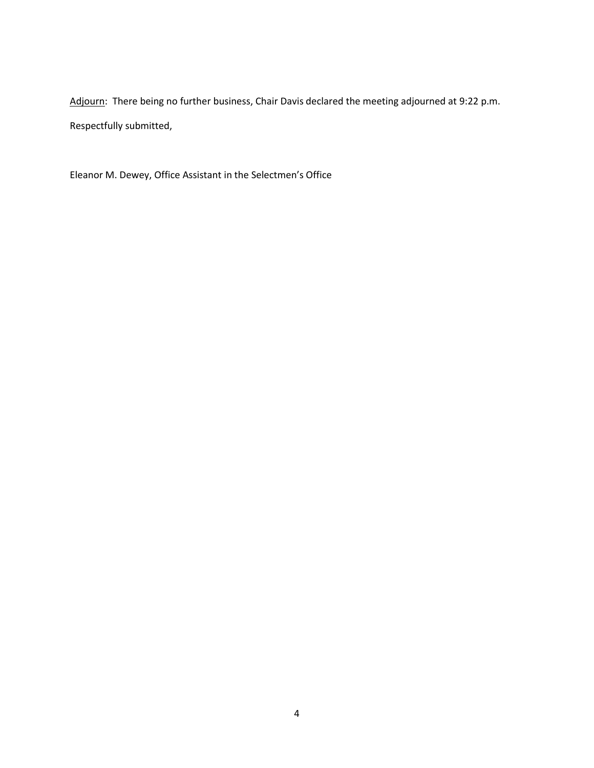Adjourn: There being no further business, Chair Davis declared the meeting adjourned at 9:22 p.m. Respectfully submitted,

Eleanor M. Dewey, Office Assistant in the Selectmen's Office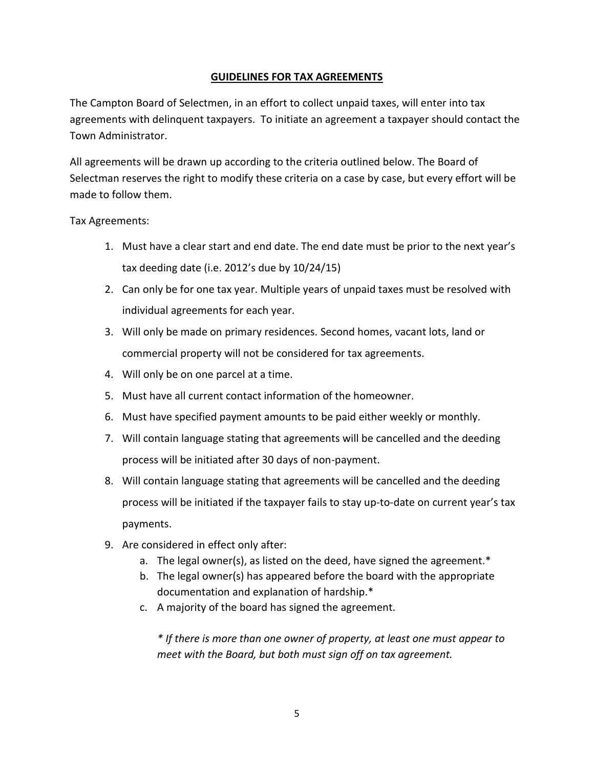# **GUIDELINES FOR TAX AGREEMENTS**

The Campton Board of Selectmen, in an effort to collect unpaid taxes, will enter into tax agreements with delinquent taxpayers. To initiate an agreement a taxpayer should contact the Town Administrator.

All agreements will be drawn up according to the criteria outlined below. The Board of Selectman reserves the right to modify these criteria on a case by case, but every effort will be made to follow them.

## Tax Agreements:

- 1. Must have a clear start and end date. The end date must be prior to the next year's tax deeding date (i.e. 2012's due by 10/24/15)
- 2. Can only be for one tax year. Multiple years of unpaid taxes must be resolved with individual agreements for each year.
- 3. Will only be made on primary residences. Second homes, vacant lots, land or commercial property will not be considered for tax agreements.
- 4. Will only be on one parcel at a time.
- 5. Must have all current contact information of the homeowner.
- 6. Must have specified payment amounts to be paid either weekly or monthly.
- 7. Will contain language stating that agreements will be cancelled and the deeding process will be initiated after 30 days of non-payment.
- 8. Will contain language stating that agreements will be cancelled and the deeding process will be initiated if the taxpayer fails to stay up-to-date on current year's tax payments.
- 9. Are considered in effect only after:
	- a. The legal owner(s), as listed on the deed, have signed the agreement.\*
	- b. The legal owner(s) has appeared before the board with the appropriate documentation and explanation of hardship.\*
	- c. A majority of the board has signed the agreement.

*\* If there is more than one owner of property, at least one must appear to meet with the Board, but both must sign off on tax agreement.*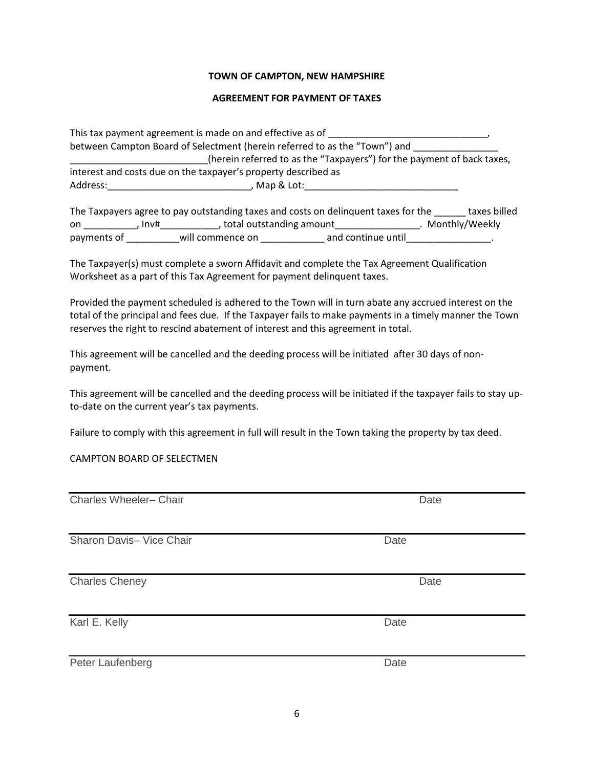## **TOWN OF CAMPTON, NEW HAMPSHIRE**

### **AGREEMENT FOR PAYMENT OF TAXES**

This tax payment agreement is made on and effective as of \_\_\_\_\_\_\_\_\_\_\_\_\_\_\_\_\_\_\_\_\_\_\_ between Campton Board of Selectment (herein referred to as the "Town") and \_\_\_\_\_\_ \_\_\_\_\_\_\_\_\_\_\_\_\_\_\_\_\_\_\_\_\_\_\_\_\_\_(herein referred to as the "Taxpayers") for the payment of back taxes, interest and costs due on the taxpayer's property described as Address:\_\_\_\_\_\_\_\_\_\_\_\_\_\_\_\_\_\_\_\_\_\_\_\_\_\_\_, Map & Lot:\_\_\_\_\_\_\_\_\_\_\_\_\_\_\_\_\_\_\_\_\_\_\_\_\_\_\_\_\_

The Taxpayers agree to pay outstanding taxes and costs on delinquent taxes for the \_\_\_\_\_\_ taxes billed on \_\_\_\_\_\_\_\_\_\_, Inv# \_\_\_\_\_\_\_\_\_\_, total outstanding amount \_\_\_\_\_\_\_\_\_\_\_\_\_\_\_\_\_. Monthly/Weekly payments of \_\_\_\_\_\_\_\_\_\_will commence on \_\_\_\_\_\_\_\_\_\_\_\_\_\_ and continue until\_\_\_\_\_\_\_\_\_\_\_\_\_\_\_\_.

The Taxpayer(s) must complete a sworn Affidavit and complete the Tax Agreement Qualification Worksheet as a part of this Tax Agreement for payment delinquent taxes.

Provided the payment scheduled is adhered to the Town will in turn abate any accrued interest on the total of the principal and fees due. If the Taxpayer fails to make payments in a timely manner the Town reserves the right to rescind abatement of interest and this agreement in total.

This agreement will be cancelled and the deeding process will be initiated after 30 days of nonpayment.

This agreement will be cancelled and the deeding process will be initiated if the taxpayer fails to stay upto-date on the current year's tax payments.

Failure to comply with this agreement in full will result in the Town taking the property by tax deed.

CAMPTON BOARD OF SELECTMEN

| Charles Wheeler- Chair   | Date |
|--------------------------|------|
| Sharon Davis- Vice Chair | Date |
| <b>Charles Cheney</b>    | Date |
| Karl E. Kelly            | Date |
| Peter Laufenberg         | Date |